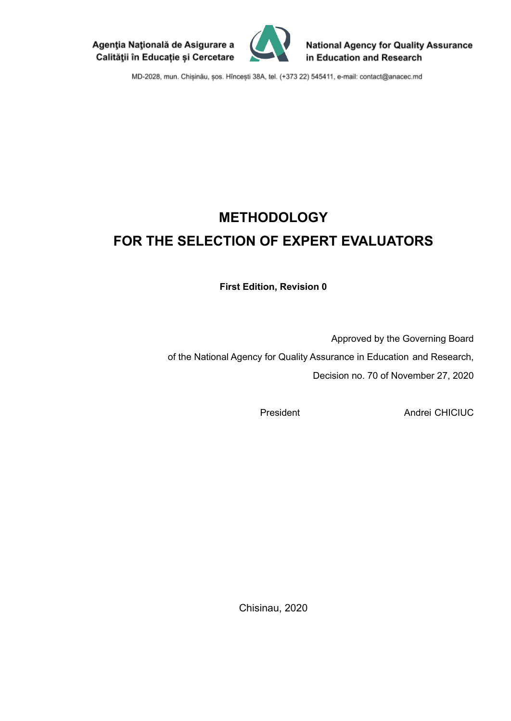



**National Agency for Quality Assurance** in Education and Research

MD-2028, mun. Chișinău, șos. Hîncești 38A, tel. (+373 22) 545411, e-mail: contact@anacec.md

# **METHODOLOGY FOR THE SELECTION OF EXPERT EVALUATORS**

**First Edition, Revision 0**

Approved by the Governing Board of the National Agency for Quality Assurance in Education and Research, Decision no. 70 of November 27, 2020

President Andrei CHICIUC

Chisinau, 2020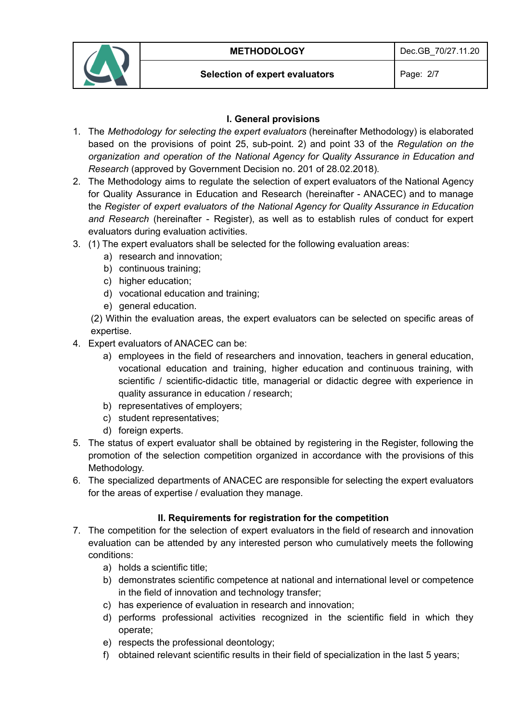

#### **Selection of expert evaluators** Page: 2/7

# **I. General provisions**

- 1. The *Methodology for selecting the expert evaluators* (hereinafter Methodology) is elaborated based on the provisions of point 25, sub-point. 2) and point 33 of the *Regulation on the organization and operation of the National Agency for Quality Assurance in Education and Research* (approved by Government Decision no. 201 of 28.02.2018)*.*
- 2. The Methodology aims to regulate the selection of expert evaluators of the National Agency for Quality Assurance in Education and Research (hereinafter - ANACEC) and to manage the *Register of expert evaluators of the National Agency for Quality Assurance in Education and Research* (hereinafter - Register), as well as to establish rules of conduct for expert evaluators during evaluation activities.
- 3. (1) The expert evaluators shall be selected for the following evaluation areas:
	- a) research and innovation;
	- b) continuous training;
	- c) higher education;
	- d) vocational education and training;
	- e) general education.

(2) Within the evaluation areas, the expert evaluators can be selected on specific areas of expertise.

- 4. Expert evaluators of ANACEC can be:
	- a) employees in the field of researchers and innovation, teachers in general education, vocational education and training, higher education and continuous training, with scientific / scientific-didactic title, managerial or didactic degree with experience in quality assurance in education / research;
	- b) representatives of employers;
	- c) student representatives;
	- d) foreign experts.
- 5. The status of expert evaluator shall be obtained by registering in the Register, following the promotion of the selection competition organized in accordance with the provisions of this Methodology.
- 6. The specialized departments of ANACEC are responsible for selecting the expert evaluators for the areas of expertise / evaluation they manage.

# **II. Requirements for registration for the competition**

- 7. The competition for the selection of expert evaluators in the field of research and innovation evaluation can be attended by any interested person who cumulatively meets the following conditions:
	- a) holds a scientific title;
	- b) demonstrates scientific competence at national and international level or competence in the field of innovation and technology transfer;
	- c) has experience of evaluation in research and innovation;
	- d) performs professional activities recognized in the scientific field in which they operate;
	- e) respects the professional deontology;
	- f) obtained relevant scientific results in their field of specialization in the last 5 years;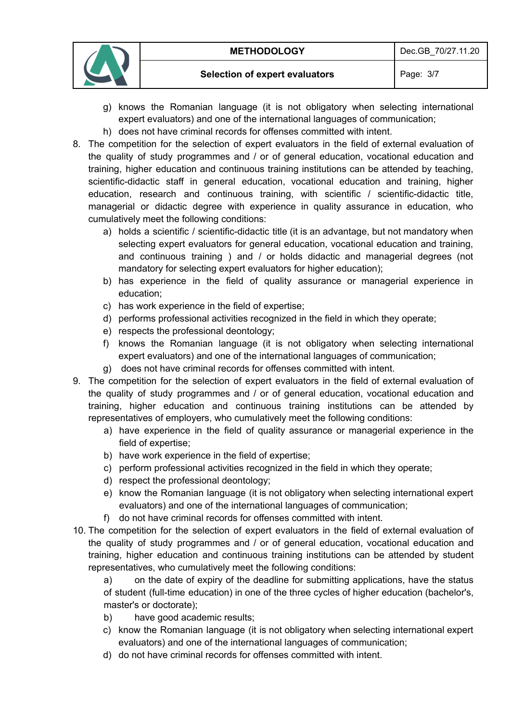

- g) knows the Romanian language (it is not obligatory when selecting international expert evaluators) and one of the international languages of communication;
- h) does not have criminal records for offenses committed with intent.
- 8. The competition for the selection of expert evaluators in the field of external evaluation of the quality of study programmes and / or of general education, vocational education and training, higher education and continuous training institutions can be attended by teaching, scientific-didactic staff in general education, vocational education and training, higher education, research and continuous training, with scientific / scientific-didactic title, managerial or didactic degree with experience in quality assurance in education, who cumulatively meet the following conditions:
	- a) holds a scientific / scientific-didactic title (it is an advantage, but not mandatory when selecting expert evaluators for general education, vocational education and training, and continuous training ) and / or holds didactic and managerial degrees (not mandatory for selecting expert evaluators for higher education);
	- b) has experience in the field of quality assurance or managerial experience in education;
	- c) has work experience in the field of expertise;
	- d) performs professional activities recognized in the field in which they operate;
	- e) respects the professional deontology;
	- f) knows the Romanian language (it is not obligatory when selecting international expert evaluators) and one of the international languages of communication;
	- g) does not have criminal records for offenses committed with intent.
- 9. The competition for the selection of expert evaluators in the field of external evaluation of the quality of study programmes and / or of general education, vocational education and training, higher education and continuous training institutions can be attended by representatives of employers, who cumulatively meet the following conditions:
	- a) have experience in the field of quality assurance or managerial experience in the field of expertise;
	- b) have work experience in the field of expertise;
	- c) perform professional activities recognized in the field in which they operate;
	- d) respect the professional deontology;
	- e) know the Romanian language (it is not obligatory when selecting international expert evaluators) and one of the international languages of communication;
	- f) do not have criminal records for offenses committed with intent.
- 10. The competition for the selection of expert evaluators in the field of external evaluation of the quality of study programmes and / or of general education, vocational education and training, higher education and continuous training institutions can be attended by student representatives, who cumulatively meet the following conditions:
	- a) on the date of expiry of the deadline for submitting applications, have the status of student (full-time education) in one of the three cycles of higher education (bachelor's, master's or doctorate);
	- b) have good academic results;
	- c) know the Romanian language (it is not obligatory when selecting international expert evaluators) and one of the international languages of communication;
	- d) do not have criminal records for offenses committed with intent.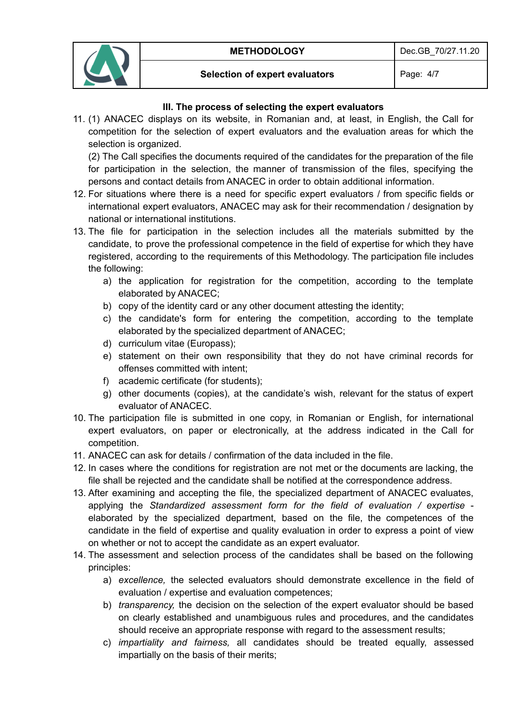

#### **Selection of expert evaluators** Page: 4/7

# **III. The process of selecting the expert evaluators**

11. (1) ANACEC displays on its website, in Romanian and, at least, in English, the Call for competition for the selection of expert evaluators and the evaluation areas for which the selection is organized.

(2) The Call specifies the documents required of the candidates for the preparation of the file for participation in the selection, the manner of transmission of the files, specifying the persons and contact details from ANACEC in order to obtain additional information.

- 12. For situations where there is a need for specific expert evaluators / from specific fields or international expert evaluators, ANACEC may ask for their recommendation / designation by national or international institutions.
- 13. The file for participation in the selection includes all the materials submitted by the candidate, to prove the professional competence in the field of expertise for which they have registered, according to the requirements of this Methodology. The participation file includes the following:
	- a) the application for registration for the competition, according to the template elaborated by ANACEC;
	- b) copy of the identity card or any other document attesting the identity;
	- c) the candidate's form for entering the competition, according to the template elaborated by the specialized department of ANACEC;
	- d) curriculum vitae (Europass);
	- e) statement on their own responsibility that they do not have criminal records for offenses committed with intent;
	- f) academic certificate (for students);
	- g) other documents (copies), at the candidate's wish, relevant for the status of expert evaluator of ANACEC.
- 10. The participation file is submitted in one copy, in Romanian or English, for international expert evaluators, on paper or electronically, at the address indicated in the Call for competition.
- 11. ANACEC can ask for details / confirmation of the data included in the file.
- 12. In cases where the conditions for registration are not met or the documents are lacking, the file shall be rejected and the candidate shall be notified at the correspondence address.
- 13. After examining and accepting the file, the specialized department of ANACEC evaluates, applying the *Standardized assessment form for the field of evaluation / expertise* elaborated by the specialized department, based on the file, the competences of the candidate in the field of expertise and quality evaluation in order to express a point of view on whether or not to accept the candidate as an expert evaluator.
- 14. The assessment and selection process of the candidates shall be based on the following principles:
	- a) *excellence,* the selected evaluators should demonstrate excellence in the field of evaluation / expertise and evaluation competences;
	- b) *transparency,* the decision on the selection of the expert evaluator should be based on clearly established and unambiguous rules and procedures, and the candidates should receive an appropriate response with regard to the assessment results;
	- c) *impartiality and fairness,* all candidates should be treated equally, assessed impartially on the basis of their merits;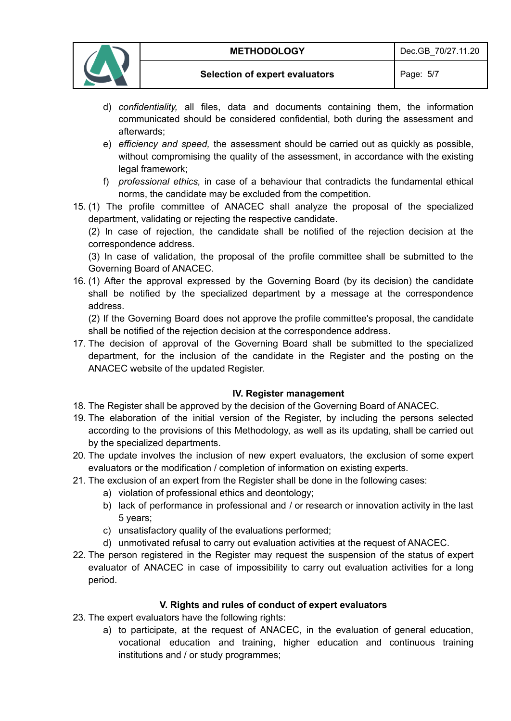

- d) *confidentiality,* all files, data and documents containing them, the information communicated should be considered confidential, both during the assessment and afterwards;
- e) *efficiency and speed,* the assessment should be carried out as quickly as possible, without compromising the quality of the assessment, in accordance with the existing legal framework;
- f) *professional ethics,* in case of a behaviour that contradicts the fundamental ethical norms, the candidate may be excluded from the competition.
- 15. (1) The profile committee of ANACEC shall analyze the proposal of the specialized department, validating or rejecting the respective candidate.

(2) In case of rejection, the candidate shall be notified of the rejection decision at the correspondence address.

(3) In case of validation, the proposal of the profile committee shall be submitted to the Governing Board of ANACEC.

16. (1) After the approval expressed by the Governing Board (by its decision) the candidate shall be notified by the specialized department by a message at the correspondence address.

(2) If the Governing Board does not approve the profile committee's proposal, the candidate shall be notified of the rejection decision at the correspondence address.

17. The decision of approval of the Governing Board shall be submitted to the specialized department, for the inclusion of the candidate in the Register and the posting on the ANACEC website of the updated Register.

# **IV. Register management**

- 18. The Register shall be approved by the decision of the Governing Board of ANACEC.
- 19. The elaboration of the initial version of the Register, by including the persons selected according to the provisions of this Methodology, as well as its updating, shall be carried out by the specialized departments.
- 20. The update involves the inclusion of new expert evaluators, the exclusion of some expert evaluators or the modification / completion of information on existing experts.
- 21. The exclusion of an expert from the Register shall be done in the following cases:
	- a) violation of professional ethics and deontology;
	- b) lack of performance in professional and / or research or innovation activity in the last 5 years;
	- c) unsatisfactory quality of the evaluations performed;
	- d) unmotivated refusal to carry out evaluation activities at the request of ANACEC.
- 22. The person registered in the Register may request the suspension of the status of expert evaluator of ANACEC in case of impossibility to carry out evaluation activities for a long period.

# **V. Rights and rules of conduct of expert evaluators**

- 23. The expert evaluators have the following rights:
	- a) to participate, at the request of ANACEC, in the evaluation of general education, vocational education and training, higher education and continuous training institutions and / or study programmes;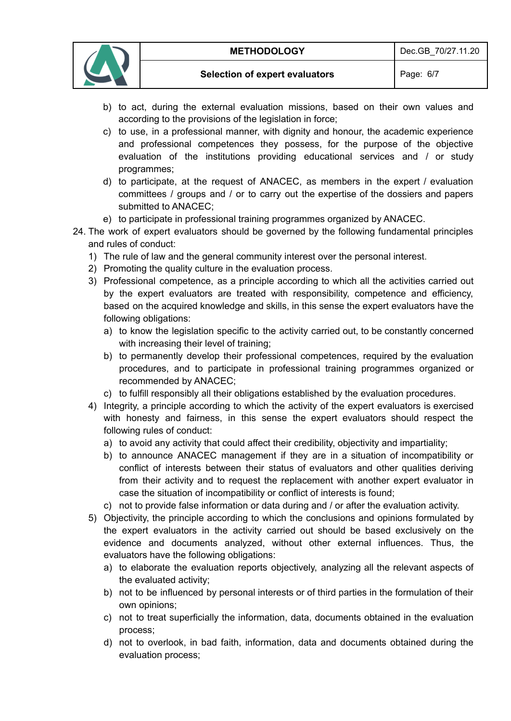

- b) to act, during the external evaluation missions, based on their own values and according to the provisions of the legislation in force;
- c) to use, in a professional manner, with dignity and honour, the academic experience and professional competences they possess, for the purpose of the objective evaluation of the institutions providing educational services and / or study programmes;
- d) to participate, at the request of ANACEC, as members in the expert / evaluation committees / groups and / or to carry out the expertise of the dossiers and papers submitted to ANACEC;
- e) to participate in professional training programmes organized by ANACEC.
- 24. The work of expert evaluators should be governed by the following fundamental principles and rules of conduct:
	- 1) The rule of law and the general community interest over the personal interest.
	- 2) Promoting the quality culture in the evaluation process.
	- 3) Professional competence, as a principle according to which all the activities carried out by the expert evaluators are treated with responsibility, competence and efficiency, based on the acquired knowledge and skills, in this sense the expert evaluators have the following obligations:
		- a) to know the legislation specific to the activity carried out, to be constantly concerned with increasing their level of training;
		- b) to permanently develop their professional competences, required by the evaluation procedures, and to participate in professional training programmes organized or recommended by ANACEC;
		- c) to fulfill responsibly all their obligations established by the evaluation procedures.
	- 4) Integrity, a principle according to which the activity of the expert evaluators is exercised with honesty and fairness, in this sense the expert evaluators should respect the following rules of conduct:
		- a) to avoid any activity that could affect their credibility, objectivity and impartiality;
		- b) to announce ANACEC management if they are in a situation of incompatibility or conflict of interests between their status of evaluators and other qualities deriving from their activity and to request the replacement with another expert evaluator in case the situation of incompatibility or conflict of interests is found;
		- c) not to provide false information or data during and / or after the evaluation activity.
	- 5) Objectivity, the principle according to which the conclusions and opinions formulated by the expert evaluators in the activity carried out should be based exclusively on the evidence and documents analyzed, without other external influences. Thus, the evaluators have the following obligations:
		- a) to elaborate the evaluation reports objectively, analyzing all the relevant aspects of the evaluated activity;
		- b) not to be influenced by personal interests or of third parties in the formulation of their own opinions;
		- c) not to treat superficially the information, data, documents obtained in the evaluation process;
		- d) not to overlook, in bad faith, information, data and documents obtained during the evaluation process;